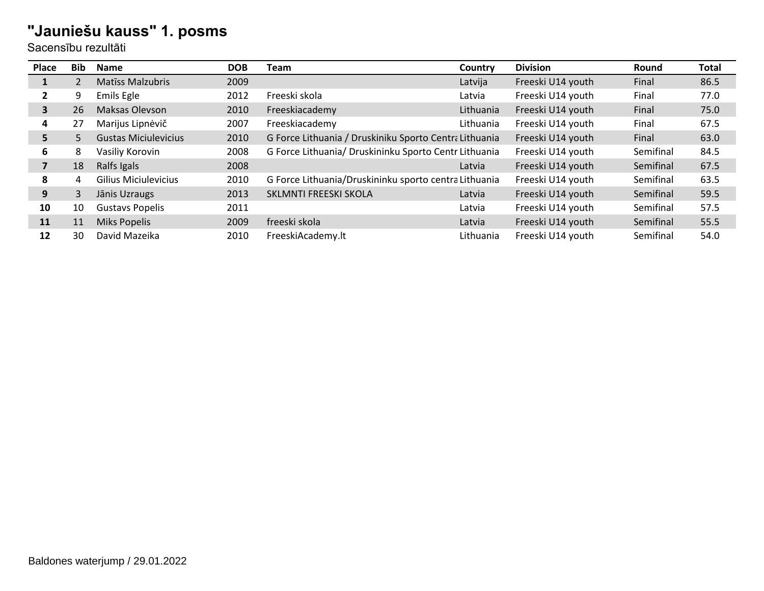| Place | Bib | <b>Name</b>                 | <b>DOB</b> | Team                                                   | Country   | <b>Division</b>   | Round     | <b>Total</b> |
|-------|-----|-----------------------------|------------|--------------------------------------------------------|-----------|-------------------|-----------|--------------|
| ш.    |     | <b>Matiss Malzubris</b>     | 2009       |                                                        | Latvija   | Freeski U14 youth | Final     | 86.5         |
| 2     | 9   | Emils Egle                  | 2012       | Freeski skola                                          | Latvia    | Freeski U14 youth | Final     | 77.0         |
| 3     | 26  | Maksas Olevson              | 2010       | Freeskiacademy                                         | Lithuania | Freeski U14 youth | Final     | 75.0         |
| 4     | 27  | Marijus Lipnėvič            | 2007       | Freeskiacademy                                         | Lithuania | Freeski U14 youth | Final     | 67.5         |
| 5.    | 5   | <b>Gustas Miciulevicius</b> | 2010       | G Force Lithuania / Druskiniku Sporto Centra Lithuania |           | Freeski U14 youth | Final     | 63.0         |
| 6     | 8   | Vasiliy Korovin             | 2008       | G Force Lithuania/ Druskininku Sporto Centr Lithuania  |           | Freeski U14 youth | Semifinal | 84.5         |
|       | 18  | Ralfs Igals                 | 2008       |                                                        | Latvia    | Freeski U14 youth | Semifinal | 67.5         |
| 8     | 4   | <b>Gilius Miciulevicius</b> | 2010       | G Force Lithuania/Druskininku sporto centra Lithuania  |           | Freeski U14 youth | Semifinal | 63.5         |
| 9     | 3   | Jānis Uzraugs               | 2013       | SKLMNTI FREESKI SKOLA                                  | Latvia    | Freeski U14 youth | Semifinal | 59.5         |
| 10    | 10  | <b>Gustavs Popelis</b>      | 2011       |                                                        | Latvia    | Freeski U14 youth | Semifinal | 57.5         |
| 11    | 11  | <b>Miks Popelis</b>         | 2009       | freeski skola                                          | Latvia    | Freeski U14 youth | Semifinal | 55.5         |
| 12    | 30  | David Mazeika               | 2010       | FreeskiAcademy.lt                                      | Lithuania | Freeski U14 youth | Semifinal | 54.0         |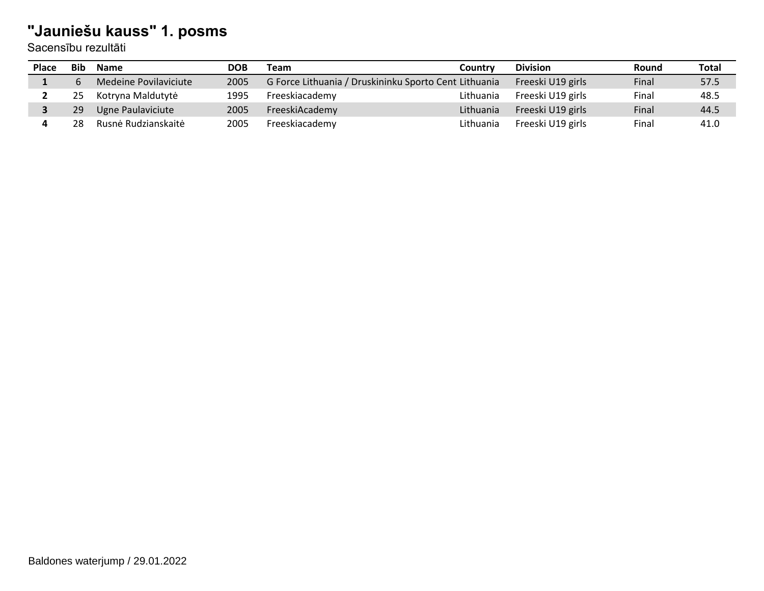| Place | <b>Bib</b> | Name                  | <b>DOB</b> | Team                                                  | Country   | <b>Division</b>   | Round | Total |
|-------|------------|-----------------------|------------|-------------------------------------------------------|-----------|-------------------|-------|-------|
|       |            | Medeine Povilaviciute | 2005       | G Force Lithuania / Druskininku Sporto Cent Lithuania |           | Freeski U19 girls | Final | 57.5  |
|       | 25         | Kotryna Maldutytė     | 1995       | Freeskiacademy                                        | Lithuania | Freeski U19 girls | Final | 48.5  |
|       | 29         | Ugne Paulaviciute     | 2005       | FreeskiAcademy                                        | Lithuania | Freeski U19 girls | Final | 44.5  |
|       | 28         | Rusnė Rudzianskaitė   | 2005       | Freeskiacademy                                        | Lithuania | Freeski U19 girls | Final | 41.0  |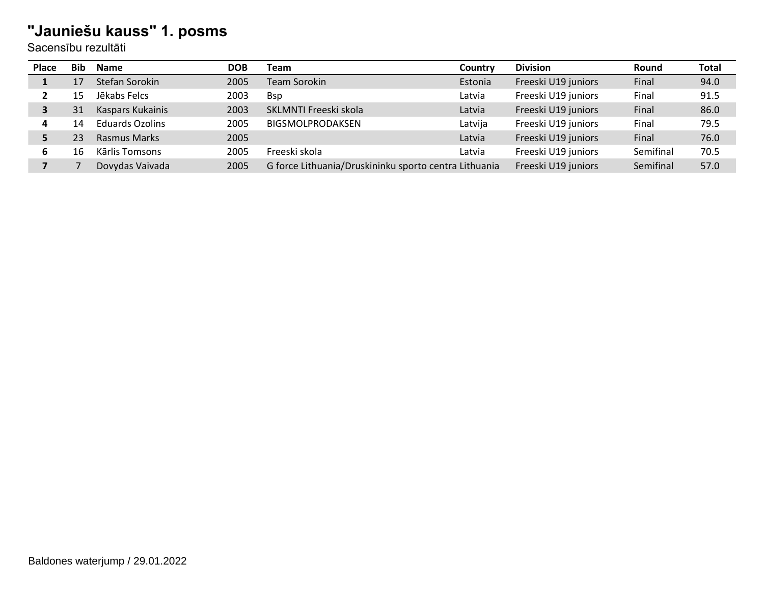| <b>Place</b> | <b>Bib</b> | <b>Name</b>            | <b>DOB</b> | <b>Team</b>                                           | Country | <b>Division</b>     | Round     | <b>Total</b> |
|--------------|------------|------------------------|------------|-------------------------------------------------------|---------|---------------------|-----------|--------------|
|              |            | Stefan Sorokin         | 2005       | <b>Team Sorokin</b>                                   | Estonia | Freeski U19 juniors | Final     | 94.0         |
|              | 15         | Jēkabs Felcs           | 2003       | <b>B</b> sp                                           | Latvia  | Freeski U19 juniors | Final     | 91.5         |
| 3            | 31         | Kaspars Kukainis       | 2003       | SKLMNTI Freeski skola                                 | Latvia  | Freeski U19 juniors | Final     | 86.0         |
| 4            | 14         | <b>Eduards Ozolins</b> | 2005       | BIGSMOLPRODAKSEN                                      | Latvija | Freeski U19 juniors | Final     | 79.5         |
|              | 23         | Rasmus Marks           | 2005       |                                                       | Latvia  | Freeski U19 juniors | Final     | 76.0         |
| 6            | 16         | Kārlis Tomsons         | 2005       | Freeski skola                                         | Latvia  | Freeski U19 juniors | Semifinal | 70.5         |
|              |            | Dovydas Vaivada        | 2005       | G force Lithuania/Druskininku sporto centra Lithuania |         | Freeski U19 juniors | Semifinal | 57.0         |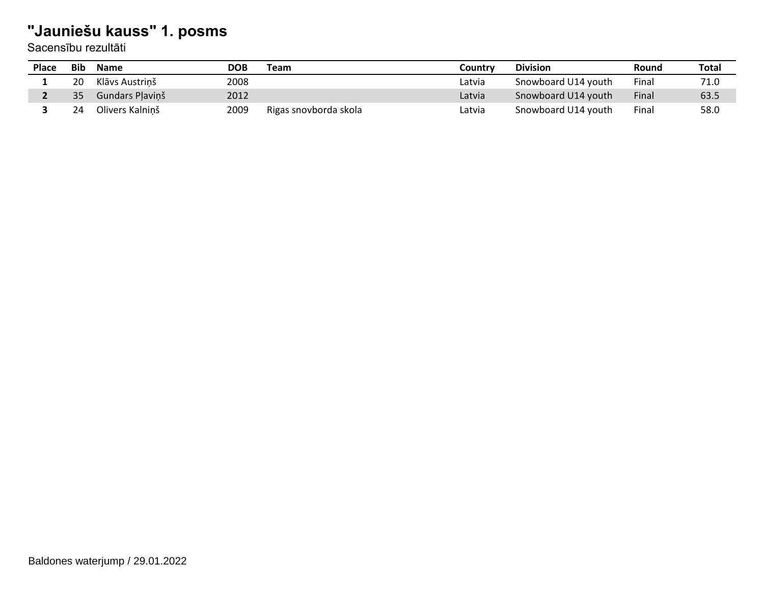| <b>Place</b> | <b>Bib</b> | <b>Name</b>     | DOB  | Team                  | Countrv | <b>Division</b>     | Round | <b>Total</b> |
|--------------|------------|-----------------|------|-----------------------|---------|---------------------|-------|--------------|
|              | 20         | Klāvs Austrinš  | 2008 |                       | Latvia  | Snowboard U14 youth | Final | 71.0         |
|              | 35         | Gundars Plavinš | 2012 |                       | Latvia  | Snowboard U14 youth | Final | 63.5         |
|              | 24         | Olivers Kalninš | 2009 | Rigas snovborda skola | Latvia  | Snowboard U14 youth | Final | 58.0         |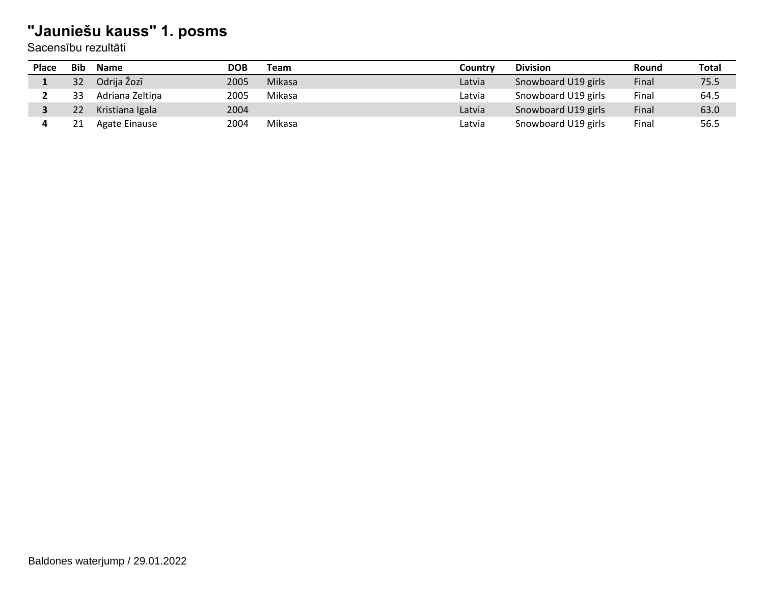| <b>Place</b> | <b>Bib</b> | <b>Name</b>          | DOB  | Team   | Countrv | <b>Division</b>     | Round | Total |
|--------------|------------|----------------------|------|--------|---------|---------------------|-------|-------|
|              | 32         | Odrija Žozī          | 2005 | Mikasa | Latvia  | Snowboard U19 girls | Final | 75.5  |
|              | 33         | Adriana Zeltina      | 2005 | Mikasa | Latvia  | Snowboard U19 girls | Final | 64.5  |
|              |            | Kristiana Igala      | 2004 |        | Latvia  | Snowboard U19 girls | Final | 63.0  |
|              |            | <b>Agate Einause</b> | 2004 | Mikasa | Latvia  | Snowboard U19 girls | Final | 56.5  |